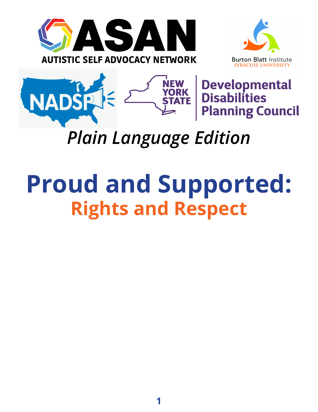





**Developmental Disabilities Planning Council** 

# *Plain Language Edition*

# **Proud and Supported: Rights and Respect**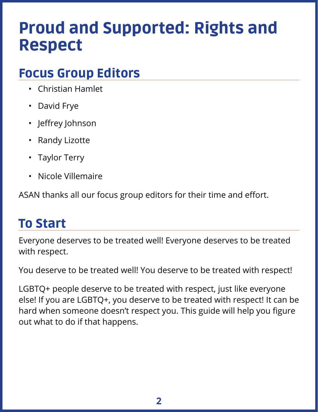# Proud and Supported: Rights and Respect

# Focus Group Editors

- Christian Hamlet
- David Frye
- Jeffrey Johnson
- Randy Lizotte
- Taylor Terry
- Nicole Villemaire

ASAN thanks all our focus group editors for their time and effort.

# To Start

Everyone deserves to be treated well! Everyone deserves to be treated with respect.

You deserve to be treated well! You deserve to be treated with respect!

LGBTQ+ people deserve to be treated with respect, just like everyone else! If you are LGBTQ+, you deserve to be treated with respect! It can be hard when someone doesn't respect you. This guide will help you figure out what to do if that happens.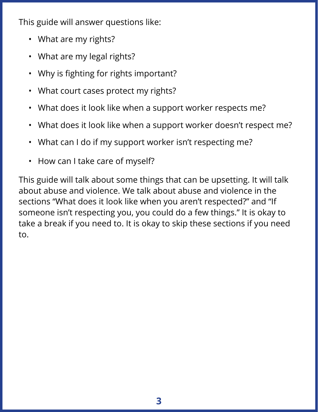This guide will answer questions like:

- What are my rights?
- What are my legal rights?
- Why is fighting for rights important?
- What court cases protect my rights?
- What does it look like when a support worker respects me?
- What does it look like when a support worker doesn't respect me?
- What can I do if my support worker isn't respecting me?
- How can I take care of myself?

This guide will talk about some things that can be upsetting. It will talk about abuse and violence. We talk about abuse and violence in the sections "What does it look like when you aren't respected?" and "If someone isn't respecting you, you could do a few things." It is okay to take a break if you need to. It is okay to skip these sections if you need to.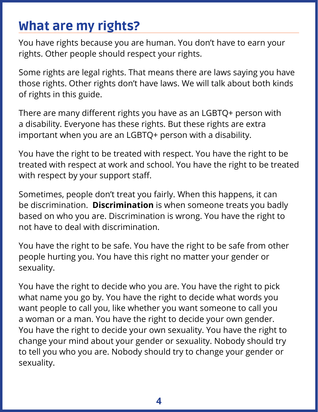# What are my rights?

You have rights because you are human. You don't have to earn your rights. Other people should respect your rights.

Some rights are legal rights. That means there are laws saying you have those rights. Other rights don't have laws. We will talk about both kinds of rights in this guide.

There are many different rights you have as an LGBTQ+ person with a disability. Everyone has these rights. But these rights are extra important when you are an LGBTQ+ person with a disability.

You have the right to be treated with respect. You have the right to be treated with respect at work and school. You have the right to be treated with respect by your support staff.

Sometimes, people don't treat you fairly. When this happens, it can be discrimination. **Discrimination** is when someone treats you badly based on who you are. Discrimination is wrong. You have the right to not have to deal with discrimination.

You have the right to be safe. You have the right to be safe from other people hurting you. You have this right no matter your gender or sexuality.

You have the right to decide who you are. You have the right to pick what name you go by. You have the right to decide what words you want people to call you, like whether you want someone to call you a woman or a man. You have the right to decide your own gender. You have the right to decide your own sexuality. You have the right to change your mind about your gender or sexuality. Nobody should try to tell you who you are. Nobody should try to change your gender or sexuality.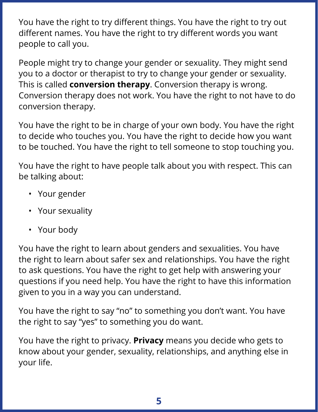You have the right to try different things. You have the right to try out different names. You have the right to try different words you want people to call you.

People might try to change your gender or sexuality. They might send you to a doctor or therapist to try to change your gender or sexuality. This is called **conversion therapy**. Conversion therapy is wrong. Conversion therapy does not work. You have the right to not have to do conversion therapy.

You have the right to be in charge of your own body. You have the right to decide who touches you. You have the right to decide how you want to be touched. You have the right to tell someone to stop touching you.

You have the right to have people talk about you with respect. This can be talking about:

- Your gender
- Your sexuality
- Your body

You have the right to learn about genders and sexualities. You have the right to learn about safer sex and relationships. You have the right to ask questions. You have the right to get help with answering your questions if you need help. You have the right to have this information given to you in a way you can understand.

You have the right to say "no" to something you don't want. You have the right to say "yes" to something you do want.

You have the right to privacy. **Privacy** means you decide who gets to know about your gender, sexuality, relationships, and anything else in your life.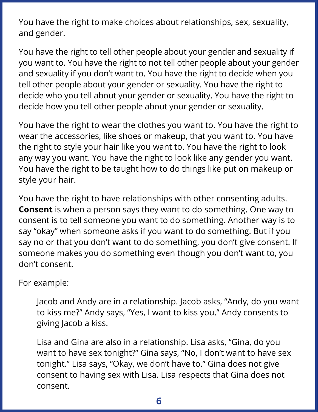You have the right to make choices about relationships, sex, sexuality, and gender.

You have the right to tell other people about your gender and sexuality if you want to. You have the right to not tell other people about your gender and sexuality if you don't want to. You have the right to decide when you tell other people about your gender or sexuality. You have the right to decide who you tell about your gender or sexuality. You have the right to decide how you tell other people about your gender or sexuality.

You have the right to wear the clothes you want to. You have the right to wear the accessories, like shoes or makeup, that you want to. You have the right to style your hair like you want to. You have the right to look any way you want. You have the right to look like any gender you want. You have the right to be taught how to do things like put on makeup or style your hair.

You have the right to have relationships with other consenting adults. **Consent** is when a person says they want to do something. One way to consent is to tell someone you want to do something. Another way is to say "okay" when someone asks if you want to do something. But if you say no or that you don't want to do something, you don't give consent. If someone makes you do something even though you don't want to, you don't consent.

For example:

Jacob and Andy are in a relationship. Jacob asks, "Andy, do you want to kiss me?" Andy says, "Yes, I want to kiss you." Andy consents to giving Jacob a kiss.

Lisa and Gina are also in a relationship. Lisa asks, "Gina, do you want to have sex tonight?" Gina says, "No, I don't want to have sex tonight." Lisa says, "Okay, we don't have to." Gina does not give consent to having sex with Lisa. Lisa respects that Gina does not consent.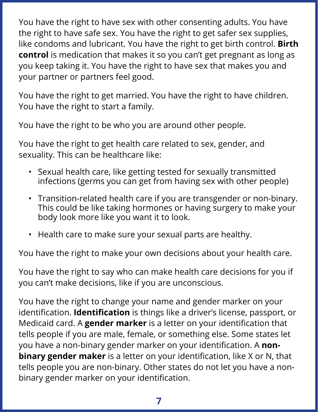You have the right to have sex with other consenting adults. You have the right to have safe sex. You have the right to get safer sex supplies, like condoms and lubricant. You have the right to get birth control. **Birth control** is medication that makes it so you can't get pregnant as long as you keep taking it. You have the right to have sex that makes you and your partner or partners feel good.

You have the right to get married. You have the right to have children. You have the right to start a family.

You have the right to be who you are around other people.

You have the right to get health care related to sex, gender, and sexuality. This can be healthcare like:

- Sexual health care, like getting tested for sexually transmitted infections (germs you can get from having sex with other people)
- Transition-related health care if you are transgender or non-binary. This could be like taking hormones or having surgery to make your body look more like you want it to look.
- Health care to make sure your sexual parts are healthy.

You have the right to make your own decisions about your health care.

You have the right to say who can make health care decisions for you if you can't make decisions, like if you are unconscious.

You have the right to change your name and gender marker on your identification. **Identification** is things like a driver's license, passport, or Medicaid card. A **gender marker** is a letter on your identification that tells people if you are male, female, or something else. Some states let you have a non-binary gender marker on your identification. A **nonbinary gender maker** is a letter on your identification, like X or N, that tells people you are non-binary. Other states do not let you have a nonbinary gender marker on your identification.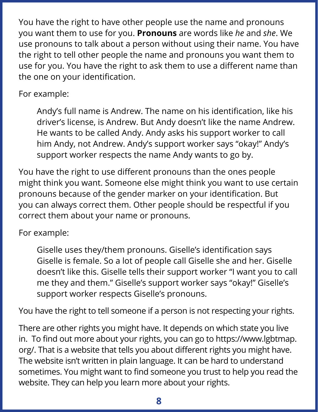You have the right to have other people use the name and pronouns you want them to use for you. **Pronouns** are words like *he* and *she*. We use pronouns to talk about a person without using their name. You have the right to tell other people the name and pronouns you want them to use for you. You have the right to ask them to use a different name than the one on your identification.

#### For example:

Andy's full name is Andrew. The name on his identification, like his driver's license, is Andrew. But Andy doesn't like the name Andrew. He wants to be called Andy. Andy asks his support worker to call him Andy, not Andrew. Andy's support worker says "okay!" Andy's support worker respects the name Andy wants to go by.

You have the right to use different pronouns than the ones people might think you want. Someone else might think you want to use certain pronouns because of the gender marker on your identification. But you can always correct them. Other people should be respectful if you correct them about your name or pronouns.

#### For example:

Giselle uses they/them pronouns. Giselle's identification says Giselle is female. So a lot of people call Giselle she and her. Giselle doesn't like this. Giselle tells their support worker "I want you to call me they and them." Giselle's support worker says "okay!" Giselle's support worker respects Giselle's pronouns.

You have the right to tell someone if a person is not respecting your rights.

There are other rights you might have. It depends on which state you live in. To find out more about your rights, you can go to https://www.lgbtmap. org/. That is a website that tells you about different rights you might have. The website isn't written in plain language. It can be hard to understand sometimes. You might want to find someone you trust to help you read the website. They can help you learn more about your rights.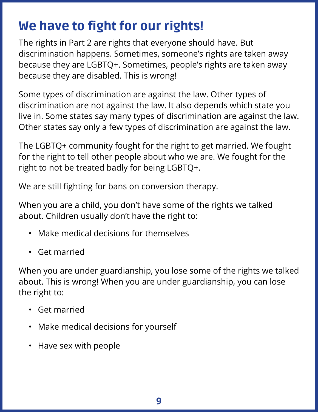# We have to fight for our rights!

The rights in Part 2 are rights that everyone should have. But discrimination happens. Sometimes, someone's rights are taken away because they are LGBTQ+. Sometimes, people's rights are taken away because they are disabled. This is wrong!

Some types of discrimination are against the law. Other types of discrimination are not against the law. It also depends which state you live in. Some states say many types of discrimination are against the law. Other states say only a few types of discrimination are against the law.

The LGBTQ+ community fought for the right to get married. We fought for the right to tell other people about who we are. We fought for the right to not be treated badly for being LGBTQ+.

We are still fighting for bans on conversion therapy.

When you are a child, you don't have some of the rights we talked about. Children usually don't have the right to:

- Make medical decisions for themselves
- Get married

When you are under guardianship, you lose some of the rights we talked about. This is wrong! When you are under guardianship, you can lose the right to:

- Get married
- Make medical decisions for yourself
- Have sex with people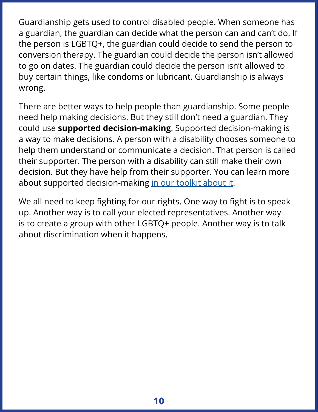Guardianship gets used to control disabled people. When someone has a guardian, the guardian can decide what the person can and can't do. If the person is LGBTQ+, the guardian could decide to send the person to conversion therapy. The guardian could decide the person isn't allowed to go on dates. The guardian could decide the person isn't allowed to buy certain things, like condoms or lubricant. Guardianship is always wrong.

There are better ways to help people than guardianship. Some people need help making decisions. But they still don't need a guardian. They could use **supported decision-making**. Supported decision-making is a way to make decisions. A person with a disability chooses someone to help them understand or communicate a decision. That person is called their supporter. The person with a disability can still make their own decision. But they have help from their supporter. You can learn more about supported decision-making [in our toolkit about it.](https://autisticadvocacy.org/policy/toolkits/choices/)

We all need to keep fighting for our rights. One way to fight is to speak up. Another way is to call your elected representatives. Another way is to create a group with other LGBTQ+ people. Another way is to talk about discrimination when it happens.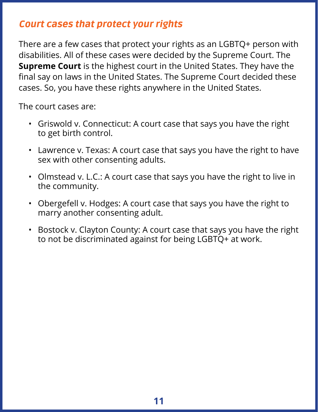# Court cases that protect your rights

There are a few cases that protect your rights as an LGBTQ+ person with disabilities. All of these cases were decided by the Supreme Court. The **Supreme Court** is the highest court in the United States. They have the final say on laws in the United States. The Supreme Court decided these cases. So, you have these rights anywhere in the United States.

The court cases are:

- Griswold v. Connecticut: A court case that says you have the right to get birth control.
- Lawrence v. Texas: A court case that says you have the right to have sex with other consenting adults.
- Olmstead v. L.C.: A court case that says you have the right to live in the community.
- Obergefell v. Hodges: A court case that says you have the right to marry another consenting adult.
- Bostock v. Clayton County: A court case that says you have the right to not be discriminated against for being LGBTQ+ at work.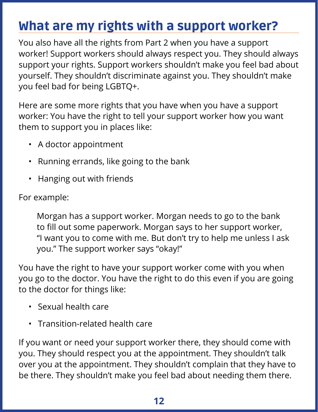# What are my rights with a support worker?

You also have all the rights from Part 2 when you have a support worker! Support workers should always respect you. They should always support your rights. Support workers shouldn't make you feel bad about yourself. They shouldn't discriminate against you. They shouldn't make you feel bad for being LGBTQ+.

Here are some more rights that you have when you have a support worker: You have the right to tell your support worker how you want them to support you in places like:

- A doctor appointment
- Running errands, like going to the bank
- Hanging out with friends

For example:

Morgan has a support worker. Morgan needs to go to the bank to fill out some paperwork. Morgan says to her support worker, "I want you to come with me. But don't try to help me unless I ask you." The support worker says "okay!"

You have the right to have your support worker come with you when you go to the doctor. You have the right to do this even if you are going to the doctor for things like:

- Sexual health care
- Transition-related health care

If you want or need your support worker there, they should come with you. They should respect you at the appointment. They shouldn't talk over you at the appointment. They shouldn't complain that they have to be there. They shouldn't make you feel bad about needing them there.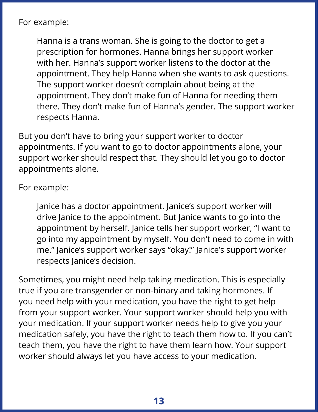For example:

Hanna is a trans woman. She is going to the doctor to get a prescription for hormones. Hanna brings her support worker with her. Hanna's support worker listens to the doctor at the appointment. They help Hanna when she wants to ask questions. The support worker doesn't complain about being at the appointment. They don't make fun of Hanna for needing them there. They don't make fun of Hanna's gender. The support worker respects Hanna.

But you don't have to bring your support worker to doctor appointments. If you want to go to doctor appointments alone, your support worker should respect that. They should let you go to doctor appointments alone.

For example:

Janice has a doctor appointment. Janice's support worker will drive Janice to the appointment. But Janice wants to go into the appointment by herself. Janice tells her support worker, "I want to go into my appointment by myself. You don't need to come in with me." Janice's support worker says "okay!" Janice's support worker respects Janice's decision.

Sometimes, you might need help taking medication. This is especially true if you are transgender or non-binary and taking hormones. If you need help with your medication, you have the right to get help from your support worker. Your support worker should help you with your medication. If your support worker needs help to give you your medication safely, you have the right to teach them how to. If you can't teach them, you have the right to have them learn how. Your support worker should always let you have access to your medication.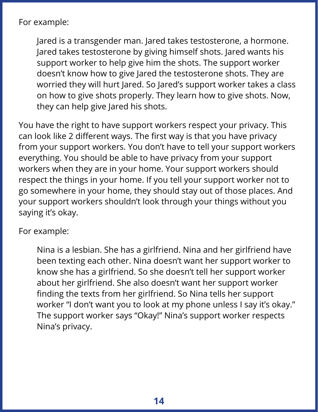For example:

Jared is a transgender man. Jared takes testosterone, a hormone. Jared takes testosterone by giving himself shots. Jared wants his support worker to help give him the shots. The support worker doesn't know how to give Jared the testosterone shots. They are worried they will hurt Jared. So Jared's support worker takes a class on how to give shots properly. They learn how to give shots. Now, they can help give Jared his shots.

You have the right to have support workers respect your privacy. This can look like 2 different ways. The first way is that you have privacy from your support workers. You don't have to tell your support workers everything. You should be able to have privacy from your support workers when they are in your home. Your support workers should respect the things in your home. If you tell your support worker not to go somewhere in your home, they should stay out of those places. And your support workers shouldn't look through your things without you saying it's okay.

For example:

Nina is a lesbian. She has a girlfriend. Nina and her girlfriend have been texting each other. Nina doesn't want her support worker to know she has a girlfriend. So she doesn't tell her support worker about her girlfriend. She also doesn't want her support worker finding the texts from her girlfriend. So Nina tells her support worker "I don't want you to look at my phone unless I say it's okay." The support worker says "Okay!" Nina's support worker respects Nina's privacy.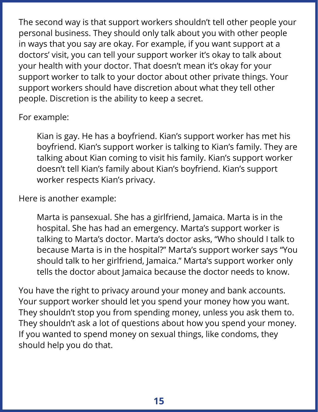The second way is that support workers shouldn't tell other people your personal business. They should only talk about you with other people in ways that you say are okay. For example, if you want support at a doctors' visit, you can tell your support worker it's okay to talk about your health with your doctor. That doesn't mean it's okay for your support worker to talk to your doctor about other private things. Your support workers should have discretion about what they tell other people. Discretion is the ability to keep a secret.

For example:

Kian is gay. He has a boyfriend. Kian's support worker has met his boyfriend. Kian's support worker is talking to Kian's family. They are talking about Kian coming to visit his family. Kian's support worker doesn't tell Kian's family about Kian's boyfriend. Kian's support worker respects Kian's privacy.

Here is another example:

Marta is pansexual. She has a girlfriend, Jamaica. Marta is in the hospital. She has had an emergency. Marta's support worker is talking to Marta's doctor. Marta's doctor asks, "Who should I talk to because Marta is in the hospital?" Marta's support worker says "You should talk to her girlfriend, Jamaica." Marta's support worker only tells the doctor about Jamaica because the doctor needs to know.

You have the right to privacy around your money and bank accounts. Your support worker should let you spend your money how you want. They shouldn't stop you from spending money, unless you ask them to. They shouldn't ask a lot of questions about how you spend your money. If you wanted to spend money on sexual things, like condoms, they should help you do that.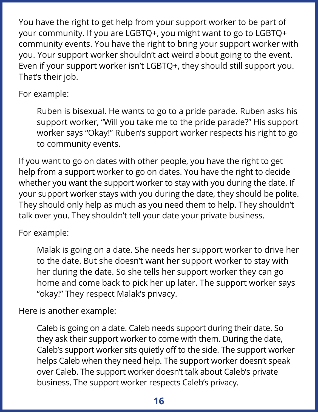You have the right to get help from your support worker to be part of your community. If you are LGBTQ+, you might want to go to LGBTQ+ community events. You have the right to bring your support worker with you. Your support worker shouldn't act weird about going to the event. Even if your support worker isn't LGBTQ+, they should still support you. That's their job.

### For example:

Ruben is bisexual. He wants to go to a pride parade. Ruben asks his support worker, "Will you take me to the pride parade?" His support worker says "Okay!" Ruben's support worker respects his right to go to community events.

If you want to go on dates with other people, you have the right to get help from a support worker to go on dates. You have the right to decide whether you want the support worker to stay with you during the date. If your support worker stays with you during the date, they should be polite. They should only help as much as you need them to help. They shouldn't talk over you. They shouldn't tell your date your private business.

### For example:

Malak is going on a date. She needs her support worker to drive her to the date. But she doesn't want her support worker to stay with her during the date. So she tells her support worker they can go home and come back to pick her up later. The support worker says "okay!" They respect Malak's privacy.

Here is another example:

Caleb is going on a date. Caleb needs support during their date. So they ask their support worker to come with them. During the date, Caleb's support worker sits quietly off to the side. The support worker helps Caleb when they need help. The support worker doesn't speak over Caleb. The support worker doesn't talk about Caleb's private business. The support worker respects Caleb's privacy.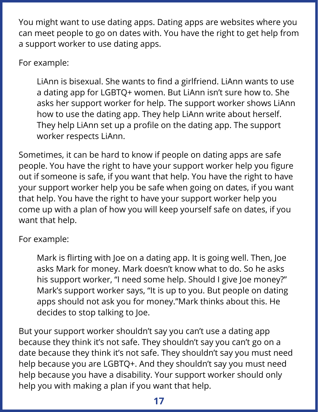You might want to use dating apps. Dating apps are websites where you can meet people to go on dates with. You have the right to get help from a support worker to use dating apps.

For example:

LiAnn is bisexual. She wants to find a girlfriend. LiAnn wants to use a dating app for LGBTQ+ women. But LiAnn isn't sure how to. She asks her support worker for help. The support worker shows LiAnn how to use the dating app. They help LiAnn write about herself. They help LiAnn set up a profile on the dating app. The support worker respects LiAnn.

Sometimes, it can be hard to know if people on dating apps are safe people. You have the right to have your support worker help you figure out if someone is safe, if you want that help. You have the right to have your support worker help you be safe when going on dates, if you want that help. You have the right to have your support worker help you come up with a plan of how you will keep yourself safe on dates, if you want that help.

For example:

Mark is flirting with Joe on a dating app. It is going well. Then, Joe asks Mark for money. Mark doesn't know what to do. So he asks his support worker, "I need some help. Should I give Joe money?" Mark's support worker says, "It is up to you. But people on dating apps should not ask you for money."Mark thinks about this. He decides to stop talking to Joe.

But your support worker shouldn't say you can't use a dating app because they think it's not safe. They shouldn't say you can't go on a date because they think it's not safe. They shouldn't say you must need help because you are LGBTQ+. And they shouldn't say you must need help because you have a disability. Your support worker should only help you with making a plan if you want that help.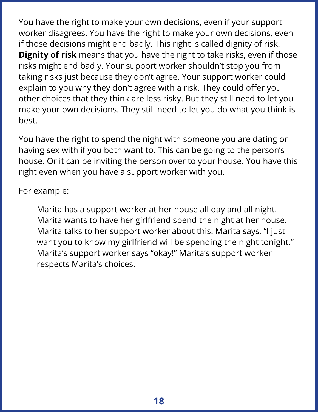You have the right to make your own decisions, even if your support worker disagrees. You have the right to make your own decisions, even if those decisions might end badly. This right is called dignity of risk. **Dignity of risk** means that you have the right to take risks, even if those risks might end badly. Your support worker shouldn't stop you from taking risks just because they don't agree. Your support worker could explain to you why they don't agree with a risk. They could offer you other choices that they think are less risky. But they still need to let you make your own decisions. They still need to let you do what you think is best.

You have the right to spend the night with someone you are dating or having sex with if you both want to. This can be going to the person's house. Or it can be inviting the person over to your house. You have this right even when you have a support worker with you.

For example:

Marita has a support worker at her house all day and all night. Marita wants to have her girlfriend spend the night at her house. Marita talks to her support worker about this. Marita says, "I just want you to know my girlfriend will be spending the night tonight." Marita's support worker says "okay!" Marita's support worker respects Marita's choices.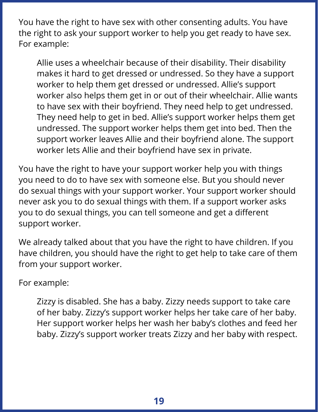You have the right to have sex with other consenting adults. You have the right to ask your support worker to help you get ready to have sex. For example:

Allie uses a wheelchair because of their disability. Their disability makes it hard to get dressed or undressed. So they have a support worker to help them get dressed or undressed. Allie's support worker also helps them get in or out of their wheelchair. Allie wants to have sex with their boyfriend. They need help to get undressed. They need help to get in bed. Allie's support worker helps them get undressed. The support worker helps them get into bed. Then the support worker leaves Allie and their boyfriend alone. The support worker lets Allie and their boyfriend have sex in private.

You have the right to have your support worker help you with things you need to do to have sex with someone else. But you should never do sexual things with your support worker. Your support worker should never ask you to do sexual things with them. If a support worker asks you to do sexual things, you can tell someone and get a different support worker.

We already talked about that you have the right to have children. If you have children, you should have the right to get help to take care of them from your support worker.

For example:

Zizzy is disabled. She has a baby. Zizzy needs support to take care of her baby. Zizzy's support worker helps her take care of her baby. Her support worker helps her wash her baby's clothes and feed her baby. Zizzy's support worker treats Zizzy and her baby with respect.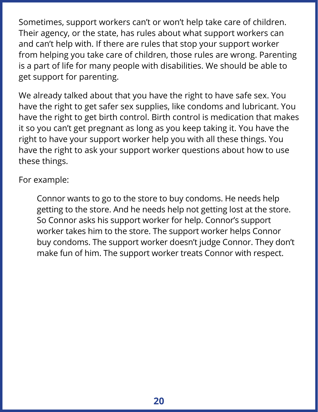Sometimes, support workers can't or won't help take care of children. Their agency, or the state, has rules about what support workers can and can't help with. If there are rules that stop your support worker from helping you take care of children, those rules are wrong. Parenting is a part of life for many people with disabilities. We should be able to get support for parenting.

We already talked about that you have the right to have safe sex. You have the right to get safer sex supplies, like condoms and lubricant. You have the right to get birth control. Birth control is medication that makes it so you can't get pregnant as long as you keep taking it. You have the right to have your support worker help you with all these things. You have the right to ask your support worker questions about how to use these things.

For example:

Connor wants to go to the store to buy condoms. He needs help getting to the store. And he needs help not getting lost at the store. So Connor asks his support worker for help. Connor's support worker takes him to the store. The support worker helps Connor buy condoms. The support worker doesn't judge Connor. They don't make fun of him. The support worker treats Connor with respect.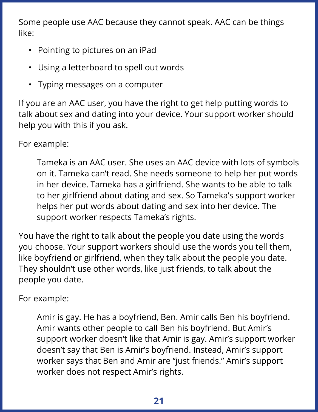Some people use AAC because they cannot speak. AAC can be things like:

- Pointing to pictures on an iPad
- Using a letterboard to spell out words
- Typing messages on a computer

If you are an AAC user, you have the right to get help putting words to talk about sex and dating into your device. Your support worker should help you with this if you ask.

For example:

Tameka is an AAC user. She uses an AAC device with lots of symbols on it. Tameka can't read. She needs someone to help her put words in her device. Tameka has a girlfriend. She wants to be able to talk to her girlfriend about dating and sex. So Tameka's support worker helps her put words about dating and sex into her device. The support worker respects Tameka's rights.

You have the right to talk about the people you date using the words you choose. Your support workers should use the words you tell them, like boyfriend or girlfriend, when they talk about the people you date. They shouldn't use other words, like just friends, to talk about the people you date.

For example:

Amir is gay. He has a boyfriend, Ben. Amir calls Ben his boyfriend. Amir wants other people to call Ben his boyfriend. But Amir's support worker doesn't like that Amir is gay. Amir's support worker doesn't say that Ben is Amir's boyfriend. Instead, Amir's support worker says that Ben and Amir are "just friends." Amir's support worker does not respect Amir's rights.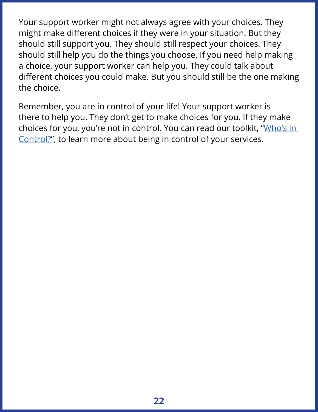Your support worker might not always agree with your choices. They might make different choices if they were in your situation. But they should still support you. They should still respect your choices. They should still help you do the things you choose. If you need help making a choice, your support worker can help you. They could talk about different choices you could make. But you should still be the one making the choice.

Remember, you are in control of your life! Your support worker is there to help you. They don't get to make choices for you. If they make choices for you, you're not in control. You can read our toolkit, ["Who's in](https://autisticadvocacy.org/policy/toolkits/in-control/)  [Control?](https://autisticadvocacy.org/policy/toolkits/in-control/)", to learn more about being in control of your services.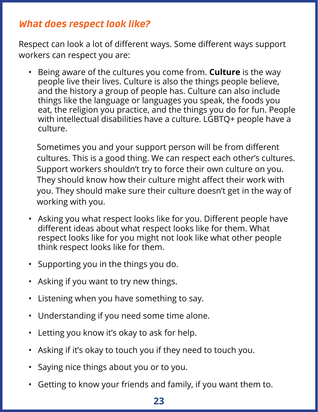# What does respect look like?

Respect can look a lot of different ways. Some different ways support workers can respect you are:

• Being aware of the cultures you come from. **Culture** is the way people live their lives. Culture is also the things people believe, and the history a group of people has. Culture can also include things like the language or languages you speak, the foods you eat, the religion you practice, and the things you do for fun. People with intellectual disabilities have a culture. LGBTQ+ people have a culture.

Sometimes you and your support person will be from different cultures. This is a good thing. We can respect each other's cultures. Support workers shouldn't try to force their own culture on you. They should know how their culture might affect their work with you. They should make sure their culture doesn't get in the way of working with you.

- Asking you what respect looks like for you. Different people have different ideas about what respect looks like for them. What respect looks like for you might not look like what other people think respect looks like for them.
- Supporting you in the things you do.
- Asking if you want to try new things.
- Listening when you have something to say.
- Understanding if you need some time alone.
- Letting you know it's okay to ask for help.
- Asking if it's okay to touch you if they need to touch you.
- Saying nice things about you or to you.
- Getting to know your friends and family, if you want them to.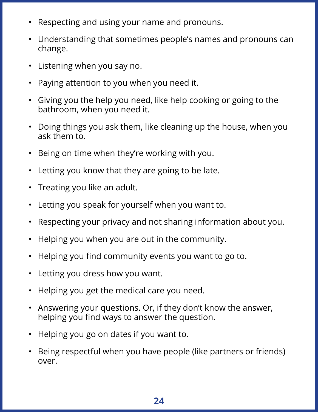- Respecting and using your name and pronouns.
- Understanding that sometimes people's names and pronouns can change.
- Listening when you say no.
- Paying attention to you when you need it.
- Giving you the help you need, like help cooking or going to the bathroom, when you need it.
- Doing things you ask them, like cleaning up the house, when you ask them to.
- Being on time when they're working with you.
- Letting you know that they are going to be late.
- Treating you like an adult.
- Letting you speak for yourself when you want to.
- Respecting your privacy and not sharing information about you.
- Helping you when you are out in the community.
- Helping you find community events you want to go to.
- Letting you dress how you want.
- Helping you get the medical care you need.
- Answering your questions. Or, if they don't know the answer, helping you find ways to answer the question.
- Helping you go on dates if you want to.
- Being respectful when you have people (like partners or friends) over.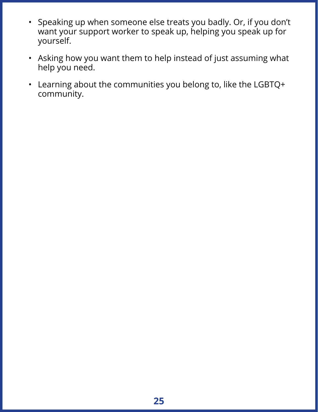- Speaking up when someone else treats you badly. Or, if you don't want your support worker to speak up, helping you speak up for yourself.
- Asking how you want them to help instead of just assuming what help you need.
- Learning about the communities you belong to, like the LGBTQ+ community.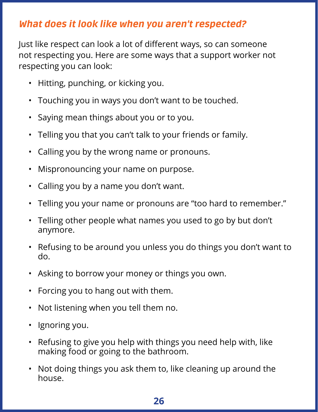# What does it look like when you aren't respected?

Just like respect can look a lot of different ways, so can someone not respecting you. Here are some ways that a support worker not respecting you can look:

- Hitting, punching, or kicking you.
- Touching you in ways you don't want to be touched.
- Saying mean things about you or to you.
- Telling you that you can't talk to your friends or family.
- Calling you by the wrong name or pronouns.
- Mispronouncing your name on purpose.
- Calling you by a name you don't want.
- Telling you your name or pronouns are "too hard to remember."
- Telling other people what names you used to go by but don't anymore.
- Refusing to be around you unless you do things you don't want to do.
- Asking to borrow your money or things you own.
- Forcing you to hang out with them.
- Not listening when you tell them no.
- Ignoring you.
- Refusing to give you help with things you need help with, like making food or going to the bathroom.
- Not doing things you ask them to, like cleaning up around the house.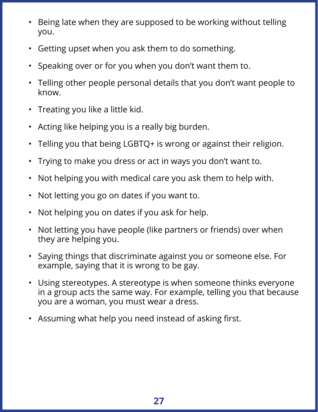- Being late when they are supposed to be working without telling you.
- Getting upset when you ask them to do something.
- Speaking over or for you when you don't want them to.
- Telling other people personal details that you don't want people to know.
- Treating you like a little kid.
- Acting like helping you is a really big burden.
- Telling you that being LGBTQ+ is wrong or against their religion.
- Trying to make you dress or act in ways you don't want to.
- Not helping you with medical care you ask them to help with.
- Not letting you go on dates if you want to.
- Not helping you on dates if you ask for help.
- Not letting you have people (like partners or friends) over when they are helping you.
- Saying things that discriminate against you or someone else. For example, saying that it is wrong to be gay.
- Using stereotypes. A stereotype is when someone thinks everyone in a group acts the same way. For example, telling you that because you are a woman, you must wear a dress.
- Assuming what help you need instead of asking first.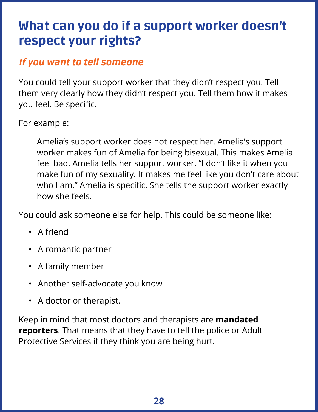# What can you do if a support worker doesn't respect your rights?

# If you want to tell someone

You could tell your support worker that they didn't respect you. Tell them very clearly how they didn't respect you. Tell them how it makes you feel. Be specific.

For example:

Amelia's support worker does not respect her. Amelia's support worker makes fun of Amelia for being bisexual. This makes Amelia feel bad. Amelia tells her support worker, "I don't like it when you make fun of my sexuality. It makes me feel like you don't care about who I am." Amelia is specific. She tells the support worker exactly how she feels.

You could ask someone else for help. This could be someone like:

- A friend
- A romantic partner
- A family member
- Another self-advocate you know
- A doctor or therapist.

Keep in mind that most doctors and therapists are **mandated reporters**. That means that they have to tell the police or Adult Protective Services if they think you are being hurt.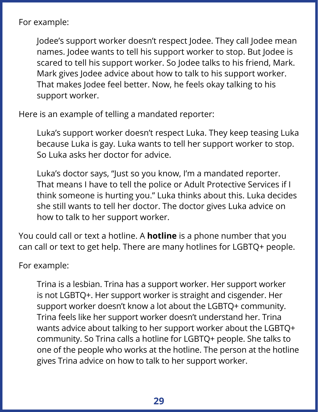For example:

Jodee's support worker doesn't respect Jodee. They call Jodee mean names. Jodee wants to tell his support worker to stop. But Jodee is scared to tell his support worker. So Jodee talks to his friend, Mark. Mark gives Jodee advice about how to talk to his support worker. That makes Jodee feel better. Now, he feels okay talking to his support worker.

Here is an example of telling a mandated reporter:

Luka's support worker doesn't respect Luka. They keep teasing Luka because Luka is gay. Luka wants to tell her support worker to stop. So Luka asks her doctor for advice.

Luka's doctor says, "Just so you know, I'm a mandated reporter. That means I have to tell the police or Adult Protective Services if I think someone is hurting you." Luka thinks about this. Luka decides she still wants to tell her doctor. The doctor gives Luka advice on how to talk to her support worker.

You could call or text a hotline. A **hotline** is a phone number that you can call or text to get help. There are many hotlines for LGBTQ+ people.

For example:

Trina is a lesbian. Trina has a support worker. Her support worker is not LGBTQ+. Her support worker is straight and cisgender. Her support worker doesn't know a lot about the LGBTQ+ community. Trina feels like her support worker doesn't understand her. Trina wants advice about talking to her support worker about the LGBTQ+ community. So Trina calls a hotline for LGBTQ+ people. She talks to one of the people who works at the hotline. The person at the hotline gives Trina advice on how to talk to her support worker.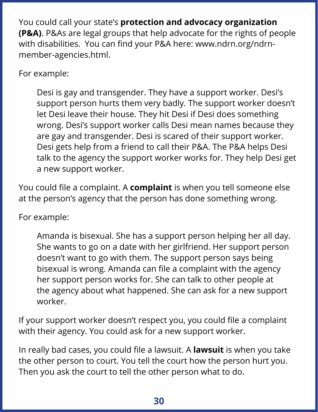You could call your state's **protection and advocacy organization (P&A)**. P&As are legal groups that help advocate for the rights of people with disabilities. You can find your P&A here: www.ndrn.org/ndrnmember-agencies.html.

For example:

Desi is gay and transgender. They have a support worker. Desi's support person hurts them very badly. The support worker doesn't let Desi leave their house. They hit Desi if Desi does something wrong. Desi's support worker calls Desi mean names because they are gay and transgender. Desi is scared of their support worker. Desi gets help from a friend to call their P&A. The P&A helps Desi talk to the agency the support worker works for. They help Desi get a new support worker.

You could file a complaint. A **complaint** is when you tell someone else at the person's agency that the person has done something wrong.

For example:

Amanda is bisexual. She has a support person helping her all day. She wants to go on a date with her girlfriend. Her support person doesn't want to go with them. The support person says being bisexual is wrong. Amanda can file a complaint with the agency her support person works for. She can talk to other people at the agency about what happened. She can ask for a new support worker.

If your support worker doesn't respect you, you could file a complaint with their agency. You could ask for a new support worker.

In really bad cases, you could file a lawsuit. A **lawsuit** is when you take the other person to court. You tell the court how the person hurt you. Then you ask the court to tell the other person what to do.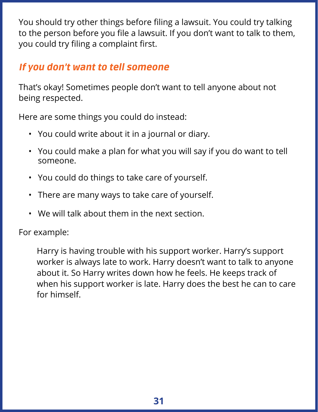You should try other things before filing a lawsuit. You could try talking to the person before you file a lawsuit. If you don't want to talk to them, you could try filing a complaint first.

# If you don't want to tell someone

That's okay! Sometimes people don't want to tell anyone about not being respected.

Here are some things you could do instead:

- You could write about it in a journal or diary.
- You could make a plan for what you will say if you do want to tell someone.
- You could do things to take care of yourself.
- There are many ways to take care of yourself.
- We will talk about them in the next section.

For example:

Harry is having trouble with his support worker. Harry's support worker is always late to work. Harry doesn't want to talk to anyone about it. So Harry writes down how he feels. He keeps track of when his support worker is late. Harry does the best he can to care for himself.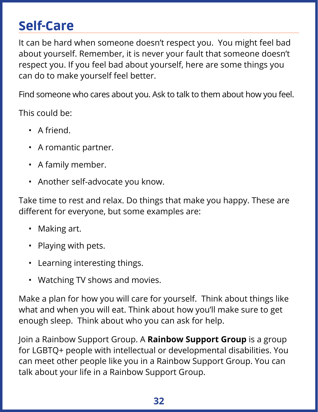# Self-Care

It can be hard when someone doesn't respect you. You might feel bad about yourself. Remember, it is never your fault that someone doesn't respect you. If you feel bad about yourself, here are some things you can do to make yourself feel better.

Find someone who cares about you. Ask to talk to them about how you feel.

This could be:

- A friend.
- A romantic partner.
- A family member.
- Another self-advocate you know.

Take time to rest and relax. Do things that make you happy. These are different for everyone, but some examples are:

- Making art.
- Playing with pets.
- Learning interesting things.
- Watching TV shows and movies.

Make a plan for how you will care for yourself. Think about things like what and when you will eat. Think about how you'll make sure to get enough sleep. Think about who you can ask for help.

Join a Rainbow Support Group. A **Rainbow Support Group** is a group for LGBTQ+ people with intellectual or developmental disabilities. You can meet other people like you in a Rainbow Support Group. You can talk about your life in a Rainbow Support Group.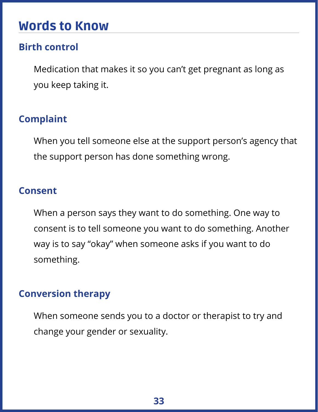# Words to Know

### **Birth control**

Medication that makes it so you can't get pregnant as long as you keep taking it.

# **Complaint**

When you tell someone else at the support person's agency that the support person has done something wrong.

### **Consent**

When a person says they want to do something. One way to consent is to tell someone you want to do something. Another way is to say "okay" when someone asks if you want to do something.

### **Conversion therapy**

When someone sends you to a doctor or therapist to try and change your gender or sexuality.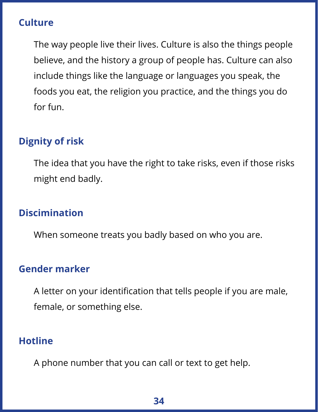### **Culture**

The way people live their lives. Culture is also the things people believe, and the history a group of people has. Culture can also include things like the language or languages you speak, the foods you eat, the religion you practice, and the things you do for fun.

# **Dignity of risk**

The idea that you have the right to take risks, even if those risks might end badly.

### **Discimination**

When someone treats you badly based on who you are.

### **Gender marker**

A letter on your identification that tells people if you are male, female, or something else.

### **Hotline**

A phone number that you can call or text to get help.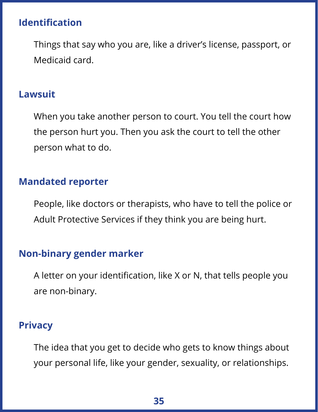### **Identification**

Things that say who you are, like a driver's license, passport, or Medicaid card.

#### **Lawsuit**

When you take another person to court. You tell the court how the person hurt you. Then you ask the court to tell the other person what to do.

### **Mandated reporter**

People, like doctors or therapists, who have to tell the police or Adult Protective Services if they think you are being hurt.

### **Non-binary gender marker**

A letter on your identification, like X or N, that tells people you are non-binary.

### **Privacy**

The idea that you get to decide who gets to know things about your personal life, like your gender, sexuality, or relationships.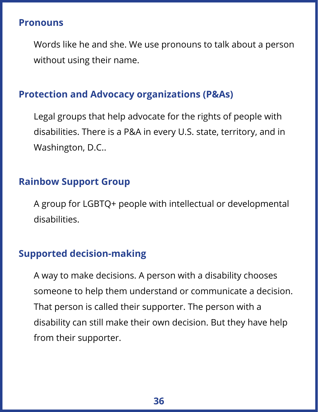#### **Pronouns**

Words like he and she. We use pronouns to talk about a person without using their name.

# **Protection and Advocacy organizations (P&As)**

Legal groups that help advocate for the rights of people with disabilities. There is a P&A in every U.S. state, territory, and in Washington, D.C..

### **Rainbow Support Group**

A group for LGBTQ+ people with intellectual or developmental disabilities.

### **Supported decision-making**

A way to make decisions. A person with a disability chooses someone to help them understand or communicate a decision. That person is called their supporter. The person with a disability can still make their own decision. But they have help from their supporter.